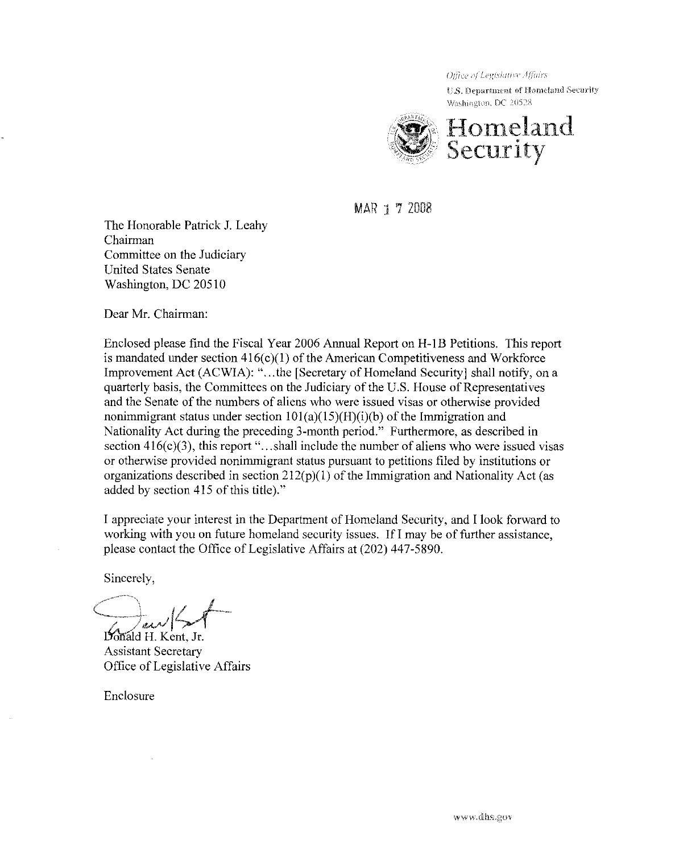U.S. Department of Homeland Security Washington, DC 20528



MAR 1 7 2008

The Honorable Patrick J. Leahy Chairman Committee on the Judiciary United States Senate Washington, DC 20510

Dear Mr. Chairman:

Enclosed please find the Fiscal Year 2006 Annual Report on H-I B Petitions. This report is mandated under section  $416(c)(1)$  of the American Competitiveness and Workforce Improvement Act (ACWIA): "...the [Secretary of Homeland Security] shall notify, on a quarterly basis, the Committees on the Judiciary of the U.S. House of Representatives and the Senate of the numbers of aliens who were issued visas or otherwise provided nonimmigrant status under section  $101(a)(15)(H)(i)(b)$  of the Immigration and Nationality Act during the preceding 3-month period." Furthermore, as described in section  $416(c)(3)$ , this report "...shall include the number of aliens who were issued visas or otherwise provided nonimmigrant status pursuant to petitions filed by institutions or organizations described in section  $212(p)(1)$  of the Immigration and Nationality Act (as added by section 415 of this title)."

I appreciate your interest in the Department of Homeland Security, and I look forward to working with you on future homeland security issues. If I may be of further assistance, please contact the Office of Legislative Affairs at (202) 447-5890.

Sincerely,

 $\leftarrow$   $\leftarrow$   $\leftarrow$  $\frac{d}{d}$  H. Kent, Jr.

Assistant Secretary Office of Legislative Affairs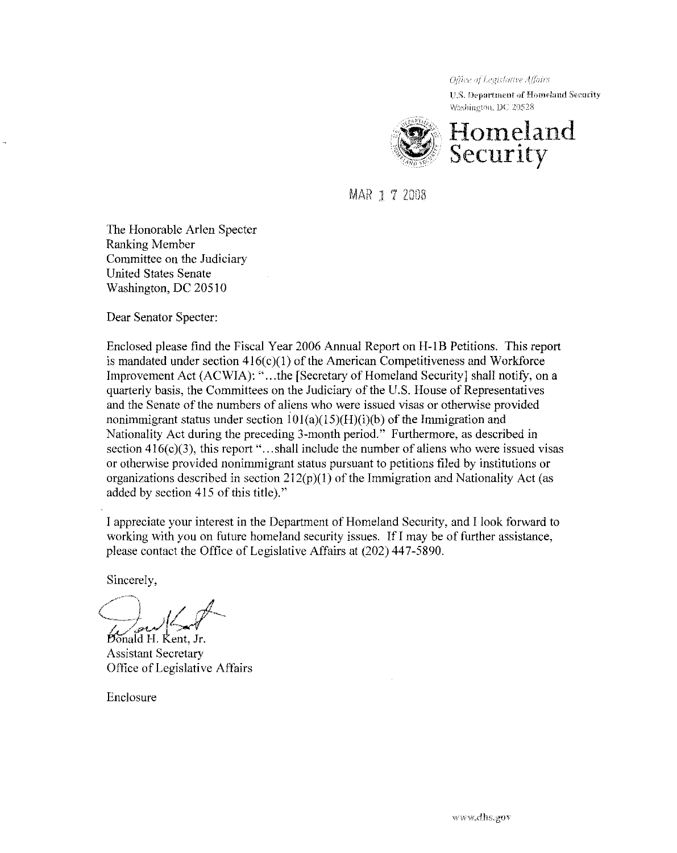U.S. Department of Homeland Security Washington, DC 20528



MAR 1 7 2008

The Honorable Arlen Specter Ranking Member Committee on the Judiciary United States Senate Washington, DC 20510

Dear Senator Specter:

Enclosed please find the Fiscal Year 2006 Annual Report on H-IB Petitions. This report is mandated under section  $416(c)(1)$  of the American Competitiveness and Workforce Improvement Act (ACWIA): "...the [Secretary of Homeland Security] shall notify, on a quarterly basis, the Committees on the Judiciary of the U.S. House of Representatives and the Senate of the numbers of aliens who were issued visas or otherwise provided nonimmigrant status under section  $101(a)(15)(H)(i)(b)$  of the Immigration and Nationality Act during the preceding 3-month period." Furthermore, as described in section  $416(c)(3)$ , this report "...shall include the number of aliens who were issued visas or otherwise provided nonimmigrant status pursuant to petitions filed by institutions or organizations described in section  $212(p)(1)$  of the Immigration and Nationality Act (as added by section 415 of this title)."

I appreciate your interest in the Department of Homeland Security, and I look forward to working with you on future homeland security issues. If I may be of further assistance, please contact the Office of Legislative Affairs at (202) 447-5890.

Sincerely,

 $\int_{\mathbb{R}^N}$  on  $\int_{\mathbb{R}^N}$ 

Donald H. Kent, Jr. Assistant Secretary Office of Legislative Affairs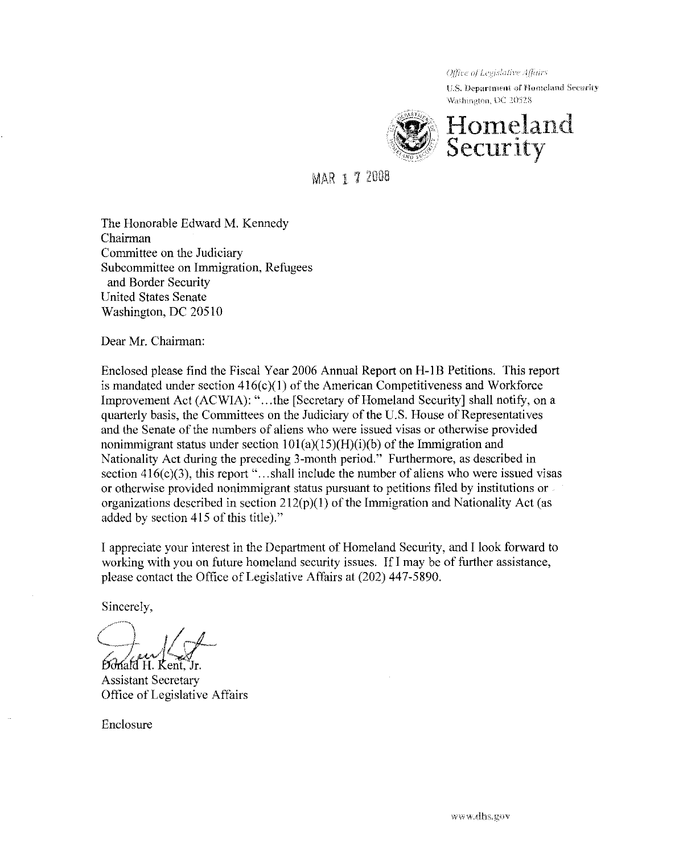U.S. Department of Homeland Security Washington, DC 20528



# MAR 1 7 2008

The Honorable Edward M. Kennedy Chairman Connnittee on the Judiciary Subcommittee on Immigration, Refugees and Border Security United States Senate Washington, DC 20510

Dear Mr. Chairman:

Enclosed please find the Fiscal Year 2006 Annual Report on H-IB Petitions. This report is mandated under section  $416(c)(1)$  of the American Competitiveness and Workforce Improvement Act (ACWIA): "...the [Secretary of Homeland Security] shall notify, on a quarterly basis, the Connnittees on the Judiciary of the U.S. House of Representatives and the Senate of the numbers of aliens who were issued visas or otherwise provided nonimmigrant status under section  $101(a)(15)(H)(i)(b)$  of the Immigration and Nationality Act during the preceding 3-month period." Furthermore, as described in section  $416(c)(3)$ , this report "... shall include the number of aliens who were issued visas or otherwise provided noninnnigrant status pursuant to petitions filed by institutions or organizations described in section  $212(p)(1)$  of the Immigration and Nationality Act (as added by section 415 of this title)."

I appreciate your interest in the Department of Homeland Security, and I look forward to working with you on future homeland security issues. If I may be of further assistance, please contact the Office of Legislative Affairs at (202) 447-5890.

Sincerely,

 $\mathcal{L}$ ,  $\mathcal{L}$  and  $\mathcal{L}$ Ponald H. Kent, Jr.

Assistant Secretary Oftice of Legislative Affairs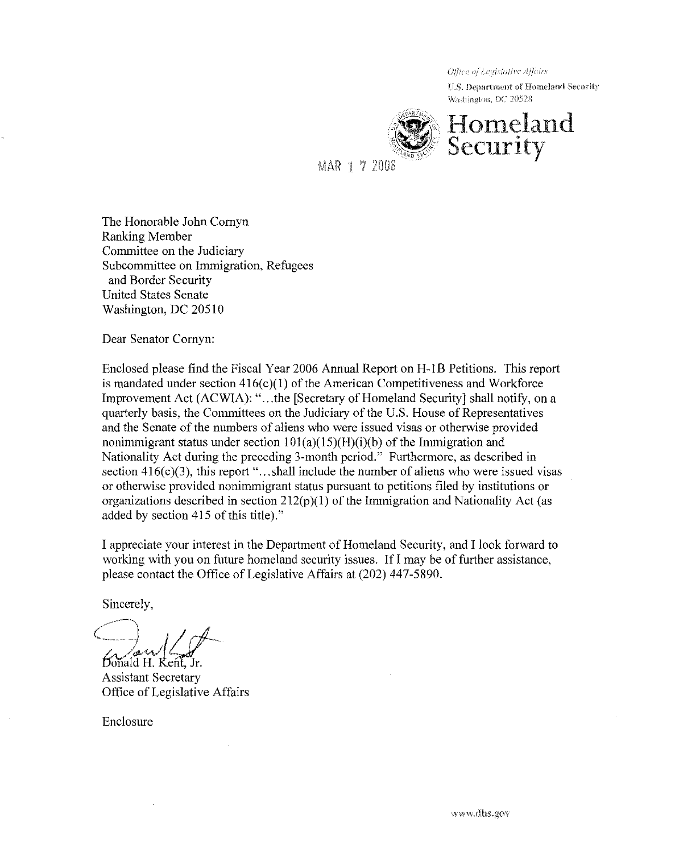U.S. Department of Homeland Security Washington, DC 20528



MAR 1 7 2008

The Honorable John Comyn Ranking Member Committee on the Judiciary Subcommittee on Immigration, Refugees and Border Security United States Senate Washington, DC 20510

Dear Senator Comyn:

Enclosed please find the Fiscal Year 2006 Annual Report on H-IB Petitions. This report is mandated under section  $416(c)(1)$  of the American Competitiveness and Workforce Improvement Act (ACWIA): "...the [Secretary of Homeland Security] shall notify, on a quarterly basis, the Committees on the Judiciary of the U.S. House of Representatives and the Senate of the numbers of aliens who were issued visas or otherwise provided nonimmigrant status under section  $101(a)(15)(H)(i)(b)$  of the Immigration and Nationality Act during the preceding 3-month period." Furthermore, as described in section  $416(c)(3)$ , this report "...shall include the number of aliens who were issued visas or otherwise provided nonimmigrant status pursuant to petitions filed by institutions or organizations described in section  $212(p)(1)$  of the Immigration and Nationality Act (as added by section 415 of this title)."

I appreciate your interest in the Department of Homeland Security, and I look forward to working with you on future homeland security issues. **IfI** may be of further assistance, please contact the Office of Legislative Affairs at (202) 447-5890.

Sincerely,

/--) C .. <sup>y</sup>i· / *r/--* aw (4)

Assistant Secretary Office of Legislative Affairs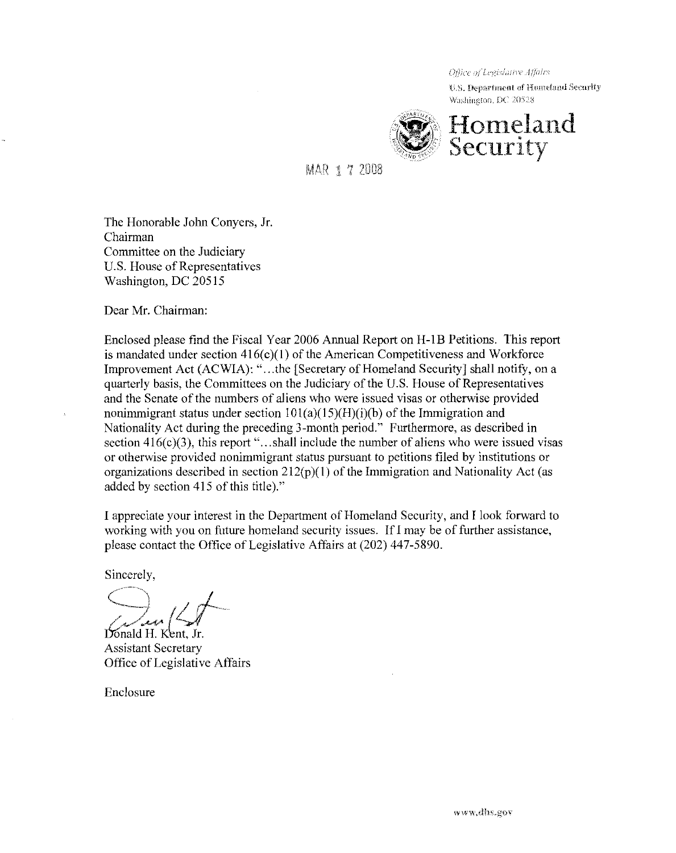U.S. Department of Homeland Security Washington, DC 20528



**MAR 1 7 2008** 

The Honorable John Conyers, Jr. Chairman Committee on the Judiciary U.S. House of Representatives Washington, DC 20515

Dear Mr. Chairman:

Enclosed please find the Fiscal Year 2006 Annual Report on **H-IB** Petitions. This report is mandated under section  $416(c)(1)$  of the American Competitiveness and Workforce Improvement Act (ACWIA): "...the [Secretary of Homeland Security] shall notify, on a quarterly basis, the Committees on the Judiciary ofthe U.S. House of Representatives and the Senate of the numbers of aliens who were issued visas or otherwise provided nonimmigrant status under section  $101(a)(15)(H)(i)(b)$  of the Immigration and Nationality Act during the preceding 3-month period." Furthermore, as described in section  $416(c)(3)$ , this report "...shall include the number of aliens who were issued visas or otherwise provided nonimmigrant status pursuant to petitions filed by institutions or organizations described in section  $212(p)(1)$  of the Immigration and Nationality Act (as added by section 415 of this title)."

I appreciate your interest in the Department of Homeland Security, and I look forward to working with you on future homeland security issues. If I may be of further assistance, please contact the Office of Legislative Affairs at (202) 447-5890.

Sincerely,

 $\bigcirc$  ,  $\neq$ c \_ -<4' *'/..-,)I* 

Donald H. Kent, Jr. Assistant Secretary Office of Legislative Affairs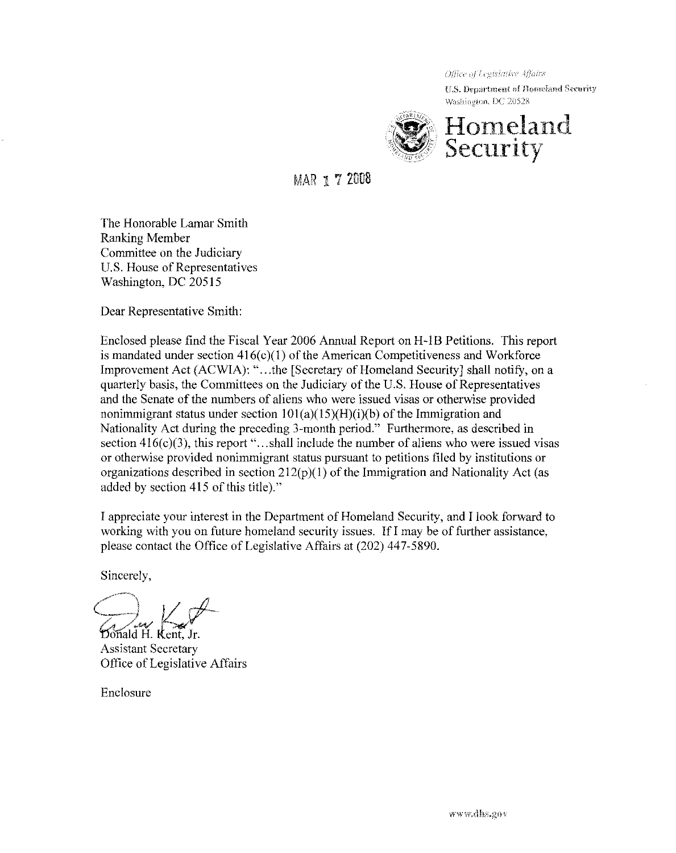U.S. Department of Homeland Security Washington, DC 20528



MAR 172008

The Honorable Lamar Smith Ranking Member Committee on the Judiciary U.S. House of Representatives Washington, DC 20515

Dear Representative Smith:

Enclosed please find the Fiscal Year 2006 Annual Report on H -18 Petitions. This report is mandated under section  $416(c)(1)$  of the American Competitiveness and Workforce Improvement Act (ACWIA): "...the [Secretary of Homeland Security] shall notify, on a quarterly basis, the Committees on the Judiciary of the U.S. House of Representatives and the Senate of the numbers of aliens who were issued visas or otherwise provided nonimmigrant status under section  $101(a)(15)(H)(i)(b)$  of the Immigration and Nationality Act during the preceding 3-month period." Furthermore, as described in section  $416(c)(3)$ , this report "...shall include the number of aliens who were issued visas or otherwise provided nonimmigrant status pursuant to petitions filed by institutions or organizations described in section  $212(p)(1)$  of the Immigration and Nationality Act (as added by section 415 of this title)."

I appreciate your interest in the Department of Homeland Security, and I look forward to working with you on future homeland security issues. If I may be of further assistance, please contact the Office of Legislative Affairs at (202) 447-5890.

Sincerely,

 $\hookrightarrow$   $\nu \not\sim$ /~t .,/~w *-:,,,,,)r!'* !)onald H. ent, Jr.

Assistant Secretary Office of Legislative Affairs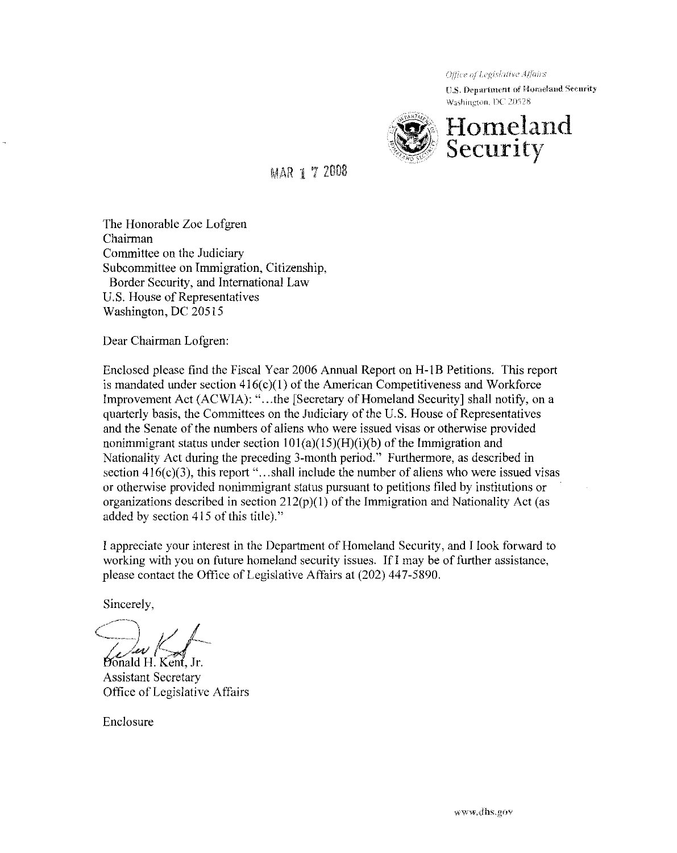${1.5}$ . Department of Homeland Security Washington, DC 20528



MAR 1 7 2008

The Honorable Zoe Lofgren Chairman Committee on the Judiciary Subcommittee on Immigration, Citizenship, Border Security, and International Law U.S. House of Representatives Washington, DC 20515

Dear Chairman Lofgren:

Enclosed please find the Fiscal Year 2006 Annual Report on H-IB Petitions. This report is mandated under section  $416(c)(1)$  of the American Competitiveness and Workforce Improvement Act (ACWIA): "...the [Secretary of Homeland Security] shall notify, on a quarterly basis, the Committees on the Judiciary of the U.S. House of Representatives and the Senate of the numbers of aliens who were issued visas or otherwise provided nonimmigrant status under section  $101(a)(15)(H)(i)$  of the Immigration and Nationality Act during the preceding 3-month period." Furthermore, as described in section  $416(c)(3)$ , this report "...shall include the number of aliens who were issued visas or otherwise provided nonimmigrant status pursuant to petitions filed by institutions or organizations described in section  $212(p)(1)$  of the Immigration and Nationality Act (as added by section 415 of this title)."

I appreciate your interest in the Department of Homeland Security, and I look forward to working with you on future homeland security issues. If I may be of further assistance, please contact the Office of Legislative Affairs at (202) 447-5890.

Sincerely,

 $\bigcap_{i \in I} I$ *You Kall* 

Assistant Secretary Office of Legislative Affairs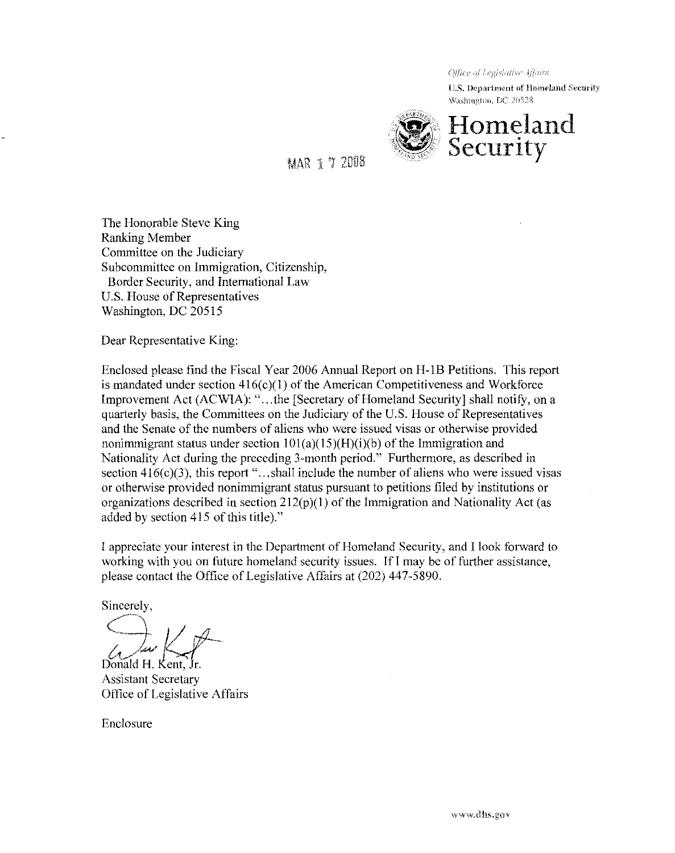U.S. Department of Homeland Security Washington, DC 20528



MAR 1 '1 20D3

The Honorable Steve King Ranking Member Committee on the Judiciary Subcommittee on Immigration, Citizenship, Border Security, and International Law U.S. House of Representatives Washington, DC 20515

Dear Representative King:

Enclosed please find the Fiscal Year 2006 Annual Report on H-lB Petitions. This report is mandated under section  $416(c)(1)$  of the American Competitiveness and Workforce Improvement Act (ACWIA): "...the [Secretary of Homeland Security] shall notify, on a quarterly basis, the Committees on the Judiciary of the U.S. House of Representatives and the Senate of the numbers of aliens who were issued visas or otherwise provided nonimmigrant status under section  $101(a)(15)(H)(i)(b)$  of the Immigration and Nationality Act during the preceding 3-month period." Furthermore, as described in section  $416(c)(3)$ , this report "...shall include the number of aliens who were issued visas or otherwise provided nonimmigrant status pursuant to petitions filed by institutions or organizations described in section  $212(p)(1)$  of the Immigration and Nationality Act (as added by section 415 of this title)."

I appreciate your interest in the Department of Homeland Security, and I look forward to working with you on future homeland security issues. If I may be of further assistance, please contact the Office of Legislative Affairs at (202) 447-5890.

Sincerely,

 $\frac{1}{\sqrt{1-\frac{1}{n}}}\sqrt{\frac{1}{n}}$ . Kent,  $\frac{1}{n}$ .

Assistant Secretary Office of Legislative Affairs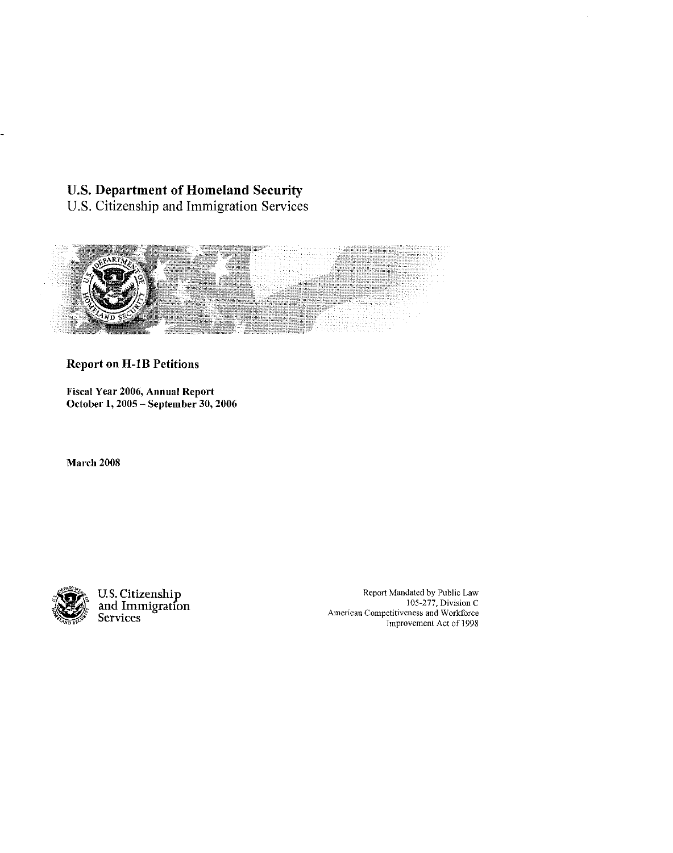# U.S. Department of Homeland Security

U.S. Citizenship and Immigration Services



# Report on H-IB Petitions

Fiscal Year 2006, Annual Report October 1, 2005 - September 30,2006

March 2008



U.S. Citizenship<br>and Immigration Services

Report Mandated by Public Law 105-277, Division C American Competitiveness and Workforce Improvement Act of 1998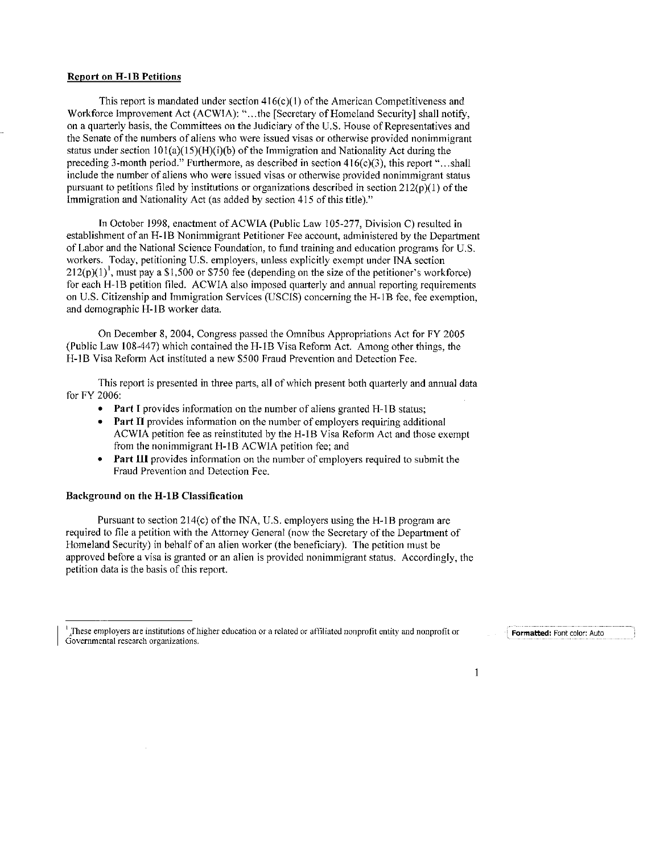#### **Report on H-1B Petitions**

This report is mandated under section  $416(c)(1)$  of the American Competitiveness and Workforce Improvement Act (ACWIA): "...the [Secretary of Homeland Security] shall notify, on a quarterly basis, the Committees on the Judiciary of the U.S. House of Representatives and the Senate of the numbers of aliens who were issued visas or otherwise provided nonimmigrant status under section  $101(a)(15)(H)(i)(b)$  of the Immigration and Nationality Act during the preceding 3-month period." Furthermore, as described in section 416(c)(3), this report "...shall include the number of aliens who were issued visas or otherwise provided nonimmigrant status pursuant to petitions filed by institutions or organizations described in section  $212(p)(1)$  of the Immigration and Nationality Act (as added by section 415 of this title)."

In October 1998, enactment of ACWIA (Public Law 105-277, Division C) resulted in establishment of an H-IB Nonimmigrant Petitioner Fee account, administered by the Department of Labor and the National Science Foundation, to fund training and education programs for U.S. workers. Today, petitioning U.S. employers, unless explicitly exempt under INA section  $212(p)(1)$ , must pay a \$1,500 or \$750 fee (depending on the size of the petitioner's workforce) for each H-IB petition filed. ACWIA also imposed quarterly and annual reporting requirements on U.S. Citizenship and Immigration Services (USCIS) concerning the H-l B fee, fee exemption, and demographic H-IB worker data.

On December 8, 2004, Congress passed the Omnibus Appropriations Act for FY 2005 (Public Law 108-447) which contained the H-IB Visa Reform Act. Among other things, the H-IB Visa Reform Act instituted a new \$500 Fraud Prevention and Detection Fee.

This report is presented in three parts, all of which present both quarterly and annual data for FY 2006:

- Part I provides information on the number of aliens granted H-1B status;
- Part II provides information on the number of employers requiring additional ACWIA petition fee as reinstituted by the H-IB Visa Reform Act and those exempt from the nonimmigrant H-1B ACWIA petition fee; and
- Part **III** provides information on the number of employers required to submit the Fraud Prevention and Detection Fee.

#### Background on the H-IB Classification

Pursuant to section 214(c) of the INA, U.S. employers using the H-1B program are required to file a petition with the Attorney General (now the Secretary of the Department of Homeland Security) in behalf of an alien worker (the beneficiary). The petition must be approved before a visa is granted or an alien is provided nonimmigrant status. Accordingly, the petition data is the basis of this report.

Formatted: Font color: Auto

 $\mathbf{1}$ 

These employers are institutions of higher education or a related or affiliated nonprofit entity and nonprofit or Govemmental research organizations.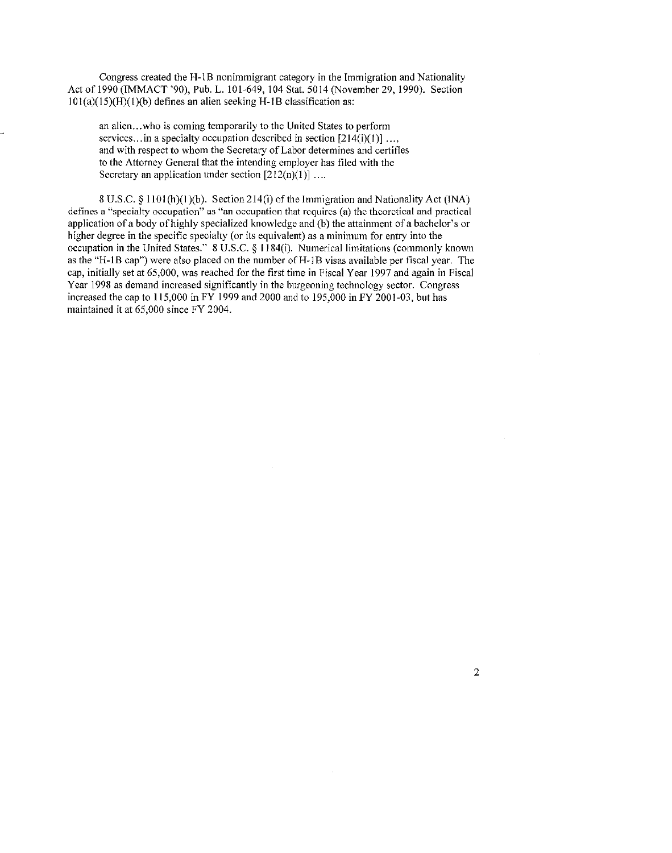**Congress created the H-l B nonimmigrant category in the Immigration and Nationality**  Act of 1990 (IMMACT '90), Pub. L. 101-649, 104 Stat. 5014 (November 29,1990). Section  $101(a)(15)(H)(1)(b)$  defines an alien seeking H-1B classification as:

**an alien ... who is coming temporarily to the United States to perform**  services... in a specialty occupation described in section  $[214(i)(1)]$  ..., **and with respect to whom the Secretary of Labor determines and certifies**  to the Attorney General that the intending employer has filed with the Secretary an application under section  $[212(n)(1)]$  ....

8 U.S.C.  $\S$  1101(h)(1)(b). Section 214(i) of the Immigration and Nationality Act (INA) **defines a "specialty occupation" as "an occupation that requires (a) the theoretical and practical**  application of a body of highly specialized knowledge and (b) the attainment of a bachelor's or higher degree in the specific specialty (or its equivalent) as a minimum for entry into the occupation in the United States." 8 U.S.C. § 1184(i). Numericallimitations (commonly known as the "H-1B cap") were also placed on the number of H-1B visas available per fiscal year. The cap, initially set at 65,000, was reached for the first time in Fiscal Year 1997 and again in Fiscal Year 1998 as demand increased significantly in the burgeoning technology sector. Congress increased the cap to I 15,000 in FY 1999 and 2000 and to 195,000 in FY 2001-03, but has maintained it at 65,000 since FY 2004.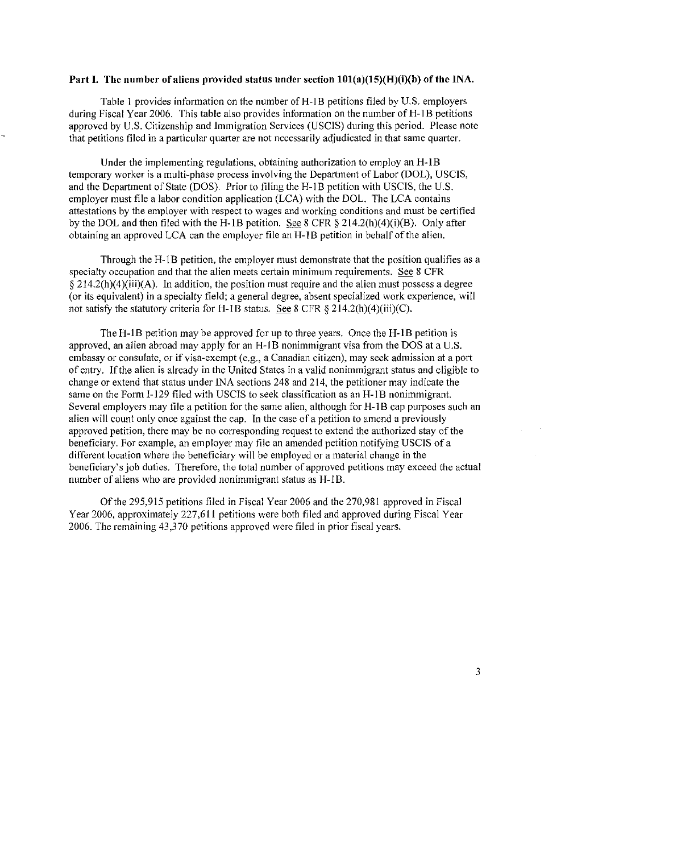### Part I. The number of aliens provided status under section  $101(a)(15)(H)(i)(b)$  of the INA.

Table 1 provides information on the number of H-1B petitions filed by U.S. employers during Fiscal Year 2006. This table also provides information on the number of H-1B petitions approved by U.S. Citizenship and Immigration Services (USCIS) during this period. Please note that petitions filed in a particular quarter are not necessarily adjudicated in that same quarter.

Under the implementing regulations, obtaining authorization to employ an H-IB temporary worker is a multi-phase process involving the Department of Labor (DOL), USCIS, and the Department of State (DOS). Prior to filing the H-I B petition with USCIS, the U.S. employer must file a labor condition application (LCA) with the DOL. The LCA contains attestations by the employer with respect to wages and working conditions and must be certified by the DOl. and then filed with the H-IB petition. See 8 CFR § 214.2(h)(4)(i)(B). Only after obtaining an approved LCA can the employer file an H-I B petition in behalf of the alien.

Through the H-IB petition, the employer must demonstrate that the position qualifies as a specialty occupation and that the alien meets certain minimum requirements. See 8 CFR  $§$  214.2(h)(4)(iii)(A). In addition, the position must require and the alien must possess a degree (or its equivalent) in a specialty field; a general degree, absent specialized work experience, will not satisty the statutory criteria for H-IB status. See 8 CFR § 214.2(h)(4)(iii)(C).

TheH-IB petition may be approved for up to three years. Once the H-IB petition is approved, an alien abroad may apply for an H-IB nonimmigrant visa from the DOS at a U.S. embassy or consulate, or if visa-exempt (e.g., a Canadian citizen), may seek admission at a port of entry. If the alien is already in the United States in a valid nonimmigrant status and eligible to change or extend that status under INA sections 248 and 214, the petitioner may indicate the same on the Form 1-129 filed with USCIS to seek classification as an H-IB nonimmigrant. Several employers may file a petition for the same alien, although for H-I B cap purposes such an alien will count only once against the cap. **In** the case of a petition to amend a previously approved petition, there may be no corresponding request to extend the authorized stay of the beneficiary. For example, an employer may file an amended petition notifying USCIS of a different location where the beneficiary will be employed or a material change in the beneficiary's job duties. Therefore, the total number of approved petitions may exceed the actual number of aliens who are provided nonimmigrant status as H-IB.

Of the 295,915 petitions filed in Fiscal Year 2006 and the 270,981 approved in Fiscal Year 2006, approximately 227,611 petitions were both filed and approved during Fiscal Year 2006. The remaining 43,370 petitions approved were filed in prior fiscal years.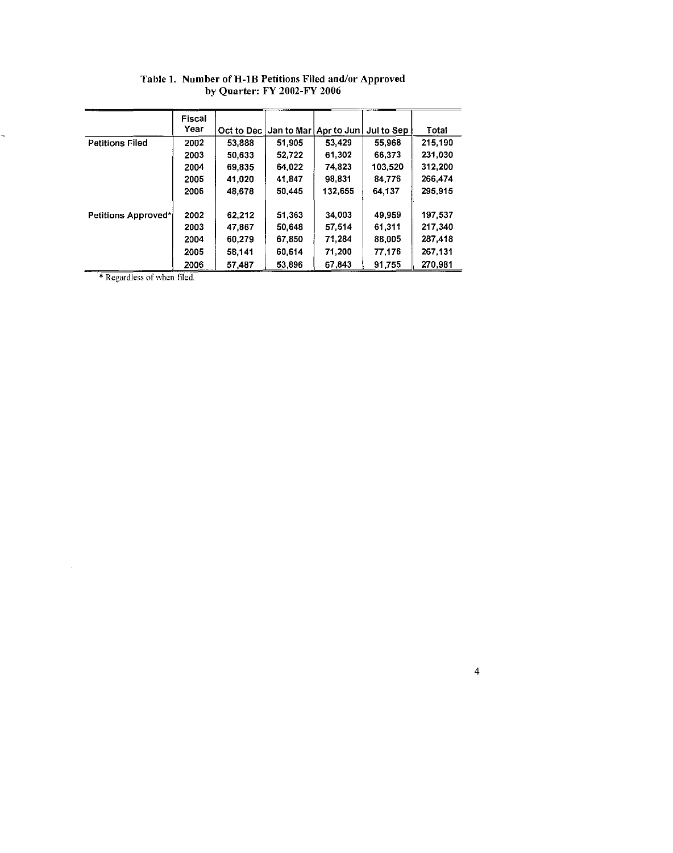|                        | Fiscal<br>Year | Oct to Dec | Jan to Mar I | Apr to Jun | Jul to Sep | Total    |
|------------------------|----------------|------------|--------------|------------|------------|----------|
| <b>Petitions Filed</b> | 2002           | 53,888     | 51,905       | 53,429     | 55,968     | 215.190  |
|                        | 2003           | 50,633     | 52,722       | 61,302     | 66,373     | 231,030  |
|                        | 2004           | 69,835     | 64.022       | 74,823     | 103,520    | 312,200  |
|                        | 2005           | 41,020     | 41,847       | 98,831     | 84,776     | 266,474  |
|                        | 2006           | 48,678     | 50,445       | 132,655    | 64,137     | 295,915  |
| Petitions Approved*    | 2002           | 62.212     | 51,363       | 34,003     | 49,959     | 197,537  |
|                        | 2003           | 47,867     | 50,648       | 57,514     | 61,311     | 217,340  |
|                        | 2004           | 60,279     | 67,850       | 71,284     | 88,005     | 287,418  |
|                        | 2005           | 58,141     | 60,614       | 71,200     | 77,176     | 267, 131 |
|                        | 2006           | 57,487     | 53,896       | 67,843     | 91,755     | 270,981  |

## Table 1. Number of H-IB Petitions Filed andlor Approved by Quarter: FY 2002-FY 2006

\* Regardless of when filed.

 $\overline{a}$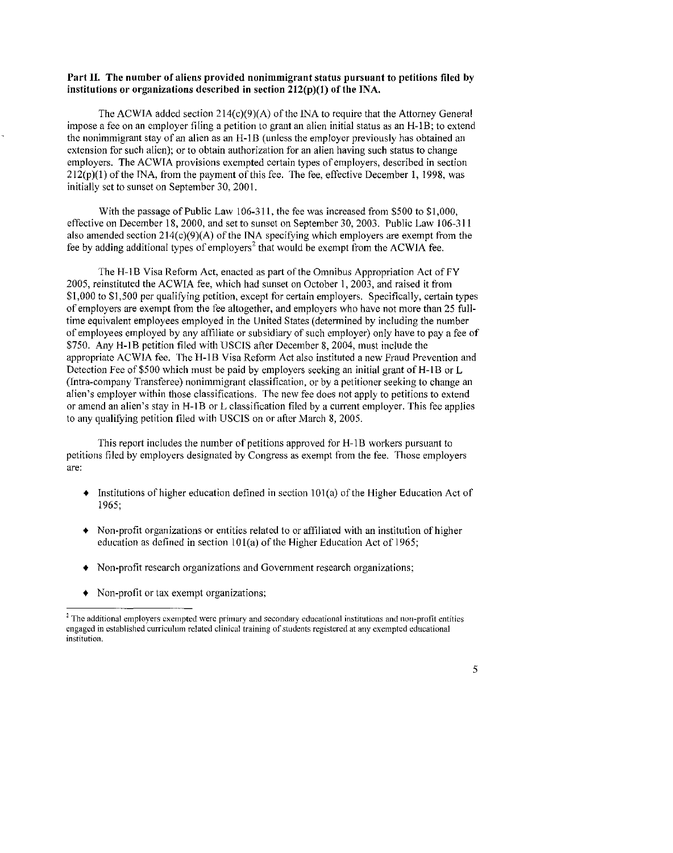### **Part II. The number of aliens provided nonimmigrant status pursuant to petitions filed by institutions or organizations described in section 212(p)(J)** of the **INA.**

The ACWIA added section  $214(c)(9)(A)$  of the INA to require that the Attorney General **impose a fee on an employer filing a petition to grant an alien initial status as an H-IB; to extend**  the nonimmigrant stay of an alien as an H-IB (unless the employer previously has obtained an **extension for such alien); or to obtain authorization for an alien having such status to change**  employers. The ACWIA provisions exempted certain types of employers, described in section  $212(p)(1)$  of the INA, from the payment of this fee. The fee, effective December 1, 1998, was initially set to sunset on September 30, 2001.

With the passage of Public Law 106-311. the fee was increased from \$500 to \$1,000, effective on December 18,2000, and set to sunset on September 30, 2003. Public Law 106-311 also amended section  $214(c)(9)(A)$  of the INA specifying which employers are exempt from the fee by adding additional types of employers' that would be exempt from the ACWIA fee.

The H-1B Visa Reform Act, enacted as part of the Omnibus Appropriation Act of FY 2005, reinstituted the ACWIA fee, which had sunset on October 1,2003, and raised it from \$1,000 to \$1,500 per qualifying petition, except for certain employers. Specifically, certain types of employers are exempt from the fee altogether, and employers who have not more than 25 fulltime equivalent employees employed in the United States (determined by including the number of employees employed by any affiliate or subsidiary of such employer) only have to pay a fee of \$750. Any H-IB petition filed with USCIS after December 8, 2004, must include the appropriate ACWIA fee. The H-IB Visa Reform Act also instituted a new Fraud Prevention and Detection Fee of \$500 which must be paid by employers seeking an initial grant of H-IB or L **(Intra-company Transferee) nonimmigrant classification, or by a petitioner seeking to change an alien's employer within those classifications. The new fee does not apply to petitions to extend or amend an alien's stay in H-IB or L classification filed by a current employer. This fee applies**  to any qualifying petition filed with USCIS on or after March 8,2005.

**This report includes the number of petitions approved for H-I B workers pursuant to**  petitions filed by employers designated by Congress as exempt from the fee. Those employers **are:** 

- $\bullet$  Institutions of higher education defined in section 101(a) of the Higher Education Act of 1965;
- Non-profit organizations or entities related to or affiliated with an institution of higher education as defined in section  $101(a)$  of the Higher Education Act of 1965;
- **Non-profit research organizations and Government research organizations;**
- **Non-profit or tax exempt organizations;**

<sup>2</sup> **The additional employers exempted were primary and secondary educational institutions and non-profit entities engaged in established curriculum related clinical training of students registered at any exempted educational institution,** 

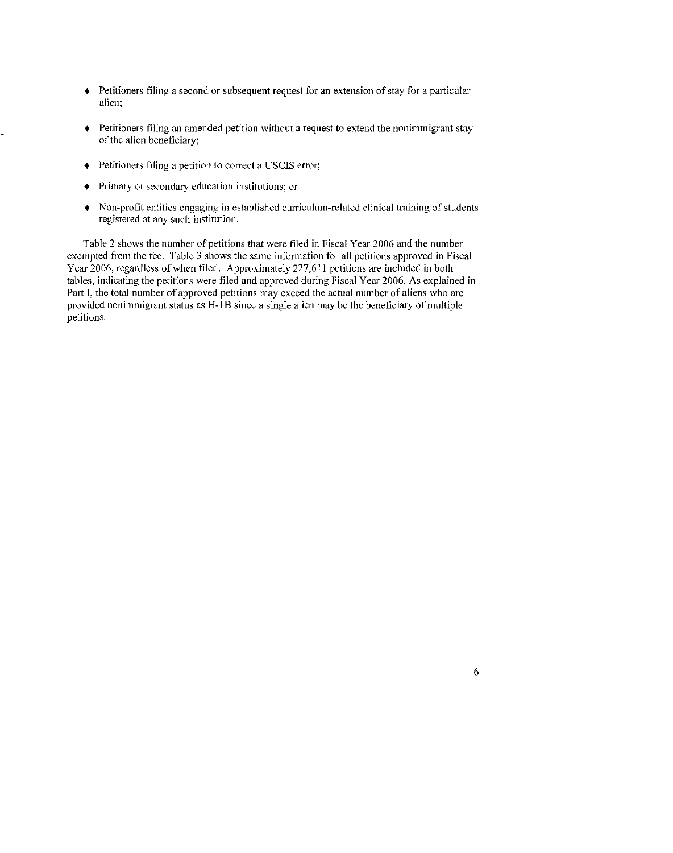- **Petitioners filing a second or subsequent request for an extension of stay for a particular alien;**
- **Petitioners filing an amended petition without a request to extend the nonimmigrant stay**  of the **alien beneficiary;**
- **Petitioners filing a petition to correct a USCIS error;**
- **Primary or secondary education institutions; or**
- **Non-profit entities engaging in established curriculum-related clinical training of students registered at any such institution.**

Table 2 shows the number of petitions that were filed in Fiscal Year 2006 and the number exempted from the fee. Table 3 shows the same information for all petitions approved in Fiscal Year 2006, regardless of when filed. Approximately 227,611 petitions are included in both tables, indicating the petitions were filed and approved during Fiscal Year 2006. As explained in Part I, the total number of approved petitions may exceed the actual number of aliens who are **provided nonimmigrant status as H-1B since a single alien may be the beneficiary** of multiple **petitions.**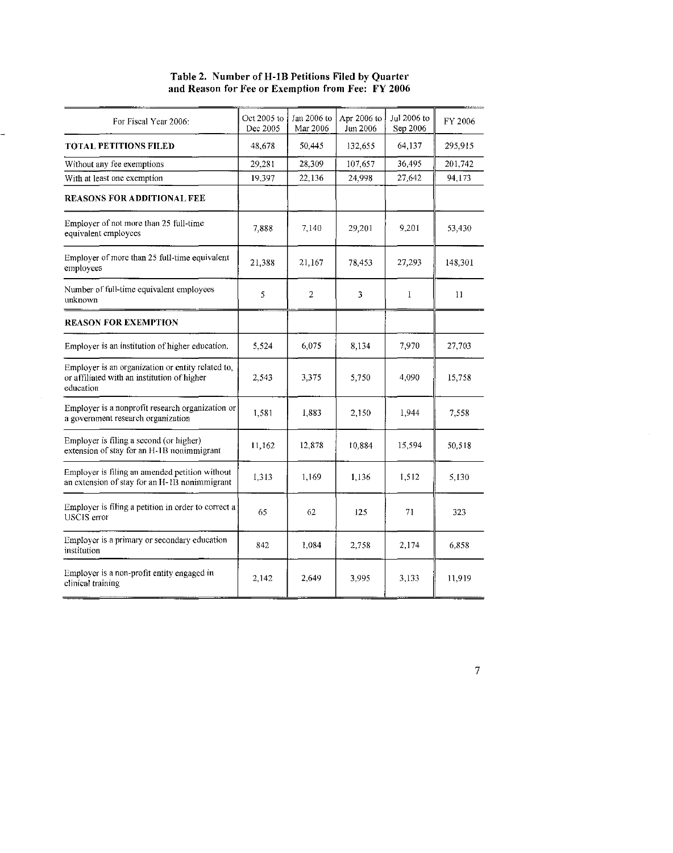| Table 2. Number of H-1B Petitions Filed by Quarter |  |
|----------------------------------------------------|--|
| and Reason for Fee or Exemption from Fee: FY 2006  |  |

| For Fiscal Year 2006:                                                                                         | Oct 2005 to<br>Dec 2005 | Jan 2006 to<br>Mar 2006 | Apr 2006 to<br>Jun 2006 | Jul 2006 to<br>Sep 2006 | FY 2006       |
|---------------------------------------------------------------------------------------------------------------|-------------------------|-------------------------|-------------------------|-------------------------|---------------|
| <b>TOTAL PETITIONS FILED</b>                                                                                  | 48,678                  | 50,445                  | 132,655                 | 64,137                  | 295,915       |
| Without any fee exemptions                                                                                    | 29,281                  | 28,309                  | 107.657                 | 36,495                  | 201.742       |
| With at least one exemption                                                                                   | 19,397                  | 22,136                  | 24,998                  | 27,642                  | 94,173        |
| REASONS FOR ADDITIONAL FEE                                                                                    |                         |                         |                         |                         |               |
| Employer of not more than 25 full-time<br>equivalent employees                                                | 7,888                   | 7.140                   | 29,201                  | 9.201                   | 53,430        |
| Employer of more than 25 full-time equivalent<br>employees                                                    | 21,388                  | 21,167                  | 78,453                  | 27,293                  | 148,301       |
| Number of full-time equivalent employees<br>unknown                                                           | 5                       | $\overline{2}$          | 3                       | $\mathbf{1}$            | $\mathbf{11}$ |
| <b>REASON FOR EXEMPTION</b>                                                                                   |                         |                         |                         |                         |               |
| Employer is an institution of higher education.                                                               | 5.524                   | 6,075                   | 8,134                   | 7,970                   | 27,703        |
| Employer is an organization or entity related to,<br>or affiliated with an institution of higher<br>education | 2,543                   | 3,375                   | 5,750                   | 4,090                   | 15,758        |
| Employer is a nonprofit research organization or<br>a government research organization                        | 1,581                   | 1,883                   | 2,150                   | 1,944                   | 7,558         |
| Employer is filing a second (or higher)<br>extension of stay for an H-1B nonimmigrant                         | 11,162                  | 12,878                  | 10,884                  | 15,594                  | 50,518        |
| Employer is filing an amended petition without<br>an extension of stay for an H-1B nonimmigrant               | 1,313                   | 1,169                   | 1,136                   | 1,512                   | 5,130         |
| Employer is filing a petition in order to correct a<br>USCIS error                                            | 65                      | 62                      | 125                     | 71                      | 323           |
| Employer is a primary or secondary education<br>institution                                                   | 842                     | 1,084                   | 2,758                   | 2,174                   | 6,858         |
| Employer is a non-profit entity engaged in<br>clinical training                                               | 2,142                   | 2,649                   | 3,995                   | 3,133                   | 11,919        |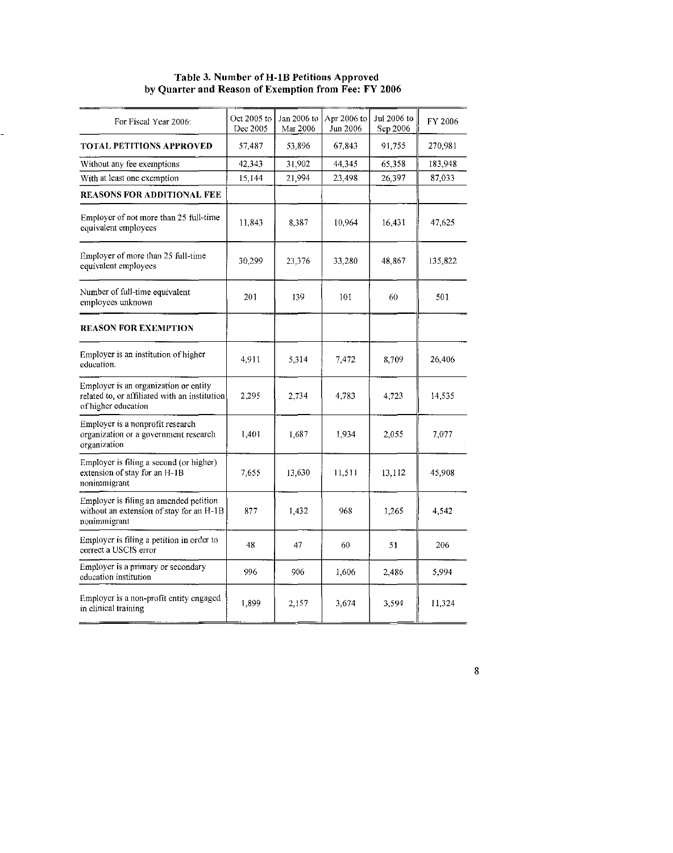#### Table 3. Number of H-1B Petitions Approved by Quarter and Reason of Exemption from Fee: FY 2006

| For Fiscal Year 2006:                                                                                         | Oct 2005 to<br>Dec 2005 | Jan 2006 to<br>Mar 2006 | Apr 2006 to<br>Jun 2006 | Jul 2006 to<br>Sep 2006 | FY 2006 |
|---------------------------------------------------------------------------------------------------------------|-------------------------|-------------------------|-------------------------|-------------------------|---------|
| <b>TOTAL PETITIONS APPROVED</b>                                                                               | 57,487                  | 53,896                  | 67,843                  | 91.755                  | 270,981 |
| Without any fee exemptions                                                                                    | 42,343                  | 31,902                  | 44,345                  | 65,358                  | 183,948 |
| With at least one exemption                                                                                   | 15,144                  | 21,994                  | 23,498                  | 26,397                  | 87,033  |
| <b>REASONS FOR ADDITIONAL FEE</b>                                                                             |                         |                         |                         |                         |         |
| Employer of not more than 25 full-time<br>equivalent employees                                                | 11.843                  | 8.387                   | 10,964                  | 16.431                  | 47.625  |
| Employer of more than 25 full-time<br>equivalent employees                                                    | 30,299                  | 23,376                  | 33,280                  | 48 867                  | 135,822 |
| Number of full-time equivalent<br>employees unknown                                                           | 201                     | 139                     | 101                     | 60                      | 501     |
| <b>REASON FOR EXEMPTION</b>                                                                                   |                         |                         |                         |                         |         |
| Employer is an institution of higher<br>education.                                                            | 4.911                   | 5.314                   | 7.472                   | 8.709                   | 26,406  |
| Employer is an organization or entity<br>related to, or affiliated with an institution<br>of higher education | 2,295                   | 2,734                   | 4,783                   | 4.723                   | 14,535  |
| Employer is a nonprofit research<br>organization or a government research<br>organization                     | 1,401                   | 1.687                   | 1.934                   | 2,055                   | 7,077   |
| Employer is filing a second (or higher)<br>extension of stay for an H-1B<br>nonimmigrant                      | 7,655                   | 13,630                  | 11,511                  | 13.112                  | 45,908  |
| Employer is filing an amended petition<br>without an extension of stay for an H-1B<br>nonimmigrant            | 877                     | 1,432                   | 968                     | 1.265                   | 4.542   |
| Employer is filing a petition in order to<br>correct a USCIS error                                            | 48                      | 47                      | 60                      | 51                      | 206     |
| Employer is a primary or secondary<br>education institution                                                   | 996                     | 906                     | 1,606                   | 2.486                   | 5.994   |
| Employer is a non-profit entity engaged<br>in clinical training                                               | 1,899                   | 2,157                   | 3.674                   | 3,594                   | 11,324  |
|                                                                                                               |                         |                         |                         |                         |         |